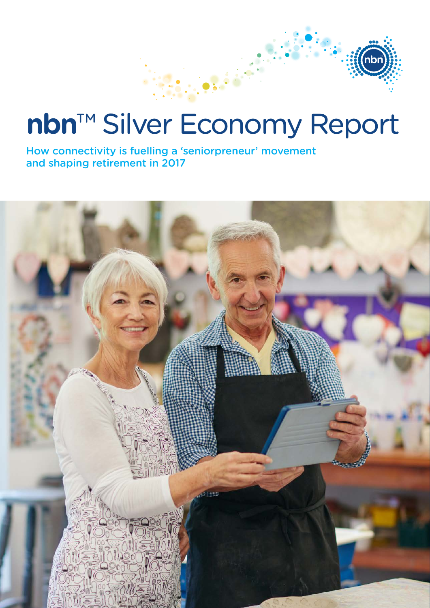# **nbn**™ Silver Economy Report

How connectivity is fuelling a 'seniorpreneur' movement and shaping retirement in 2017

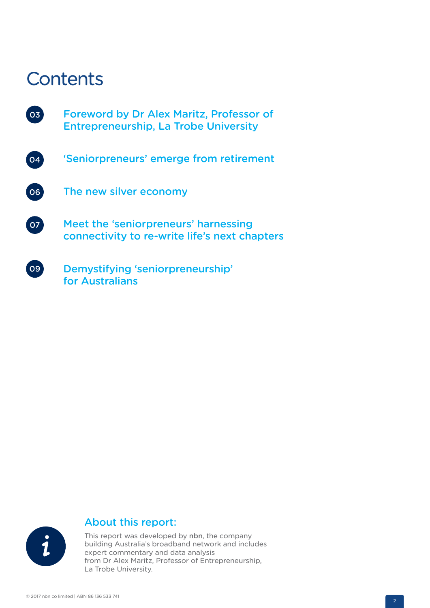# **Contents**

- Foreword by Dr Alex Maritz, Professor of Entrepreneurship, La Trobe University 03
- 'Seniorpreneurs' emerge from retirement The new silver economy  $\overline{06}$  $\boxed{04}$
- Meet the 'seniorpreneurs' harnessing connectivity to re-write life's next chapters  $07$
- Demystifying 'seniorpreneurship' for Australians  $\log$



#### About this report:

This report was developed by nbn, the company building Australia's broadband network and includes expert commentary and data analysis from Dr Alex Maritz, Professor of Entrepreneurship, La Trobe University.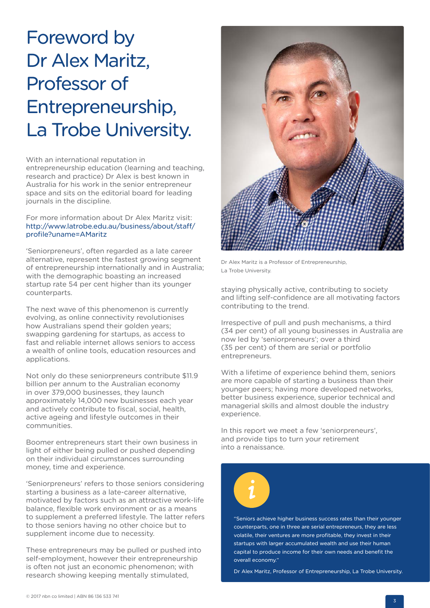# Foreword by Dr Alex Maritz, Professor of Entrepreneurship, La Trobe University.

With an international reputation in

entrepreneurship education (learning and teaching, research and practice) Dr Alex is best known in Australia for his work in the senior entrepreneur space and sits on the editorial board for leading journals in the discipline.

#### For more information about Dr Alex Maritz visit: http://www.latrobe.edu.au/business/about/staff/ profile?uname=AMaritz

'Seniorpreneurs', often regarded as a late career alternative, represent the fastest growing segment of entrepreneurship internationally and in Australia; with the demographic boasting an increased startup rate 54 per cent higher than its younger counterparts.

The next wave of this phenomenon is currently evolving, as online connectivity revolutionises how Australians spend their golden years; swapping gardening for startups, as access to fast and reliable internet allows seniors to access a wealth of online tools, education resources and applications.

Not only do these seniorpreneurs contribute \$11.9 billion per annum to the Australian economy in over 379,000 businesses, they launch approximately 14,000 new businesses each year and actively contribute to fiscal, social, health, active ageing and lifestyle outcomes in their communities.

Boomer entrepreneurs start their own business in light of either being pulled or pushed depending on their individual circumstances surrounding money, time and experience.

'Seniorpreneurs' refers to those seniors considering starting a business as a late-career alternative, motivated by factors such as an attractive work-life balance, flexible work environment or as a means to supplement a preferred lifestyle. The latter refers to those seniors having no other choice but to supplement income due to necessity.

These entrepreneurs may be pulled or pushed into self-employment, however their entrepreneurship is often not just an economic phenomenon; with research showing keeping mentally stimulated,



Dr Alex Maritz is a Professor of Entrepreneurship, La Trobe University.

staying physically active, contributing to society and lifting self-confidence are all motivating factors contributing to the trend.

Irrespective of pull and push mechanisms, a third (34 per cent) of all young businesses in Australia are now led by 'seniorpreneurs'; over a third (35 per cent) of them are serial or portfolio entrepreneurs.

With a lifetime of experience behind them, seniors are more capable of starting a business than their younger peers; having more developed networks, better business experience, superior technical and managerial skills and almost double the industry experience.

In this report we meet a few 'seniorpreneurs', and provide tips to turn your retirement into a renaissance.



"Seniors achieve higher business success rates than their younger counterparts, one in three are serial entrepreneurs, they are less volatile, their ventures are more profitable, they invest in their startups with larger accumulated wealth and use their human capital to produce income for their own needs and benefit the overall economy."

Dr Alex Maritz, Professor of Entrepreneurship, La Trobe University.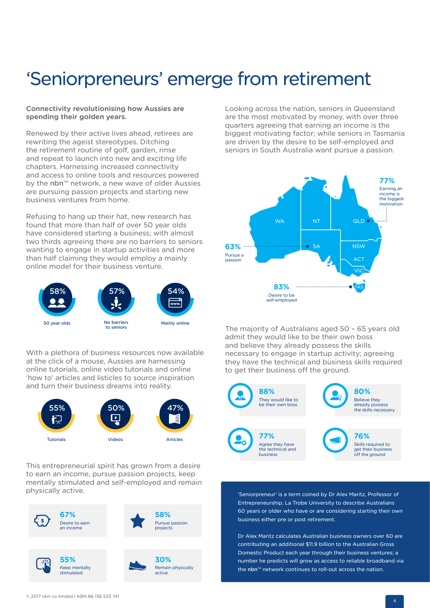# 'Seniorpreneurs' emerge from retirement

#### **Connectivity revolutionising how Aussies are spending their golden years.**

Renewed by their active lives ahead, retirees are rewriting the ageist stereotypes. Ditching the retirement routine of golf, garden, rinse and repeat to launch into new and exciting life chapters. Harnessing increased connectivity and access to online tools and resources powered by the nbn™ network, a new wave of older Aussies are pursuing passion projects and starting new business ventures from home.

Refusing to hang up their hat, new research has found that more than half of over 50 year olds have considered starting a business; with almost two thirds agreeing there are no barriers to seniors wanting to engage in startup activities and more than half claiming they would employ a mainly online model for their business venture.



With a plethora of business resources now available at the click of a mouse, Aussies are harnessing online tutorials, online video tutorials and online 'how to' articles and listicles to source inspiration and turn their business dreams into reality.



This entrepreneurial spirit has grown from a desire to earn an income, pursue passion projects, keep mentally stimulated and self-employed and remain physically active.



Looking across the nation, seniors in Queensland are the most motivated by money, with over three quarters agreeing that earning an income is the biggest motivating factor; while seniors in Tasmania are driven by the desire to be self-employed and seniors in South Australia want pursue a passion.



The majority of Australians aged 50 – 65 years old admit they would like to be their own boss and believe they already possess the skills necessary to engage in startup activity; agreeing they have the technical and business skills required to get their business off the ground.



'Seniorpreneur' is a term coined by Dr Alex Maritz, Professor of Entrepreneurship, La Trobe University to describe Australians 60 years or older who have or are considering starting their own business either pre or post retirement.

Dr Alex Maritz calculates Australian business owners over 60 are contributing an additional \$11.9 billion to the Australian Gross Domestic Product each year through their business ventures; a number he predicts will grow as access to reliable broadband via the nbn™ network continues to roll-out across the nation.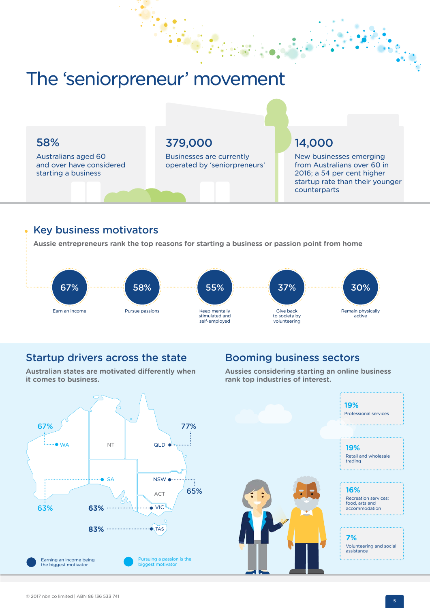## The 'seniorpreneur' movement

### 58%

Australians aged 60 and over have considered starting a business

### 379,000

Businesses are currently operated by 'seniorpreneurs'

### 14,000

New businesses emerging from Australians over 60 in 2016; a 54 per cent higher startup rate than their younger counterparts

#### Key business motivators

**Aussie entrepreneurs rank the top reasons for starting a business or passion point from home** 



### Startup drivers across the state

**Australian states are motivated differently when it comes to business.**

### Booming business sectors

**Aussies considering starting an online business rank top industries of interest.**

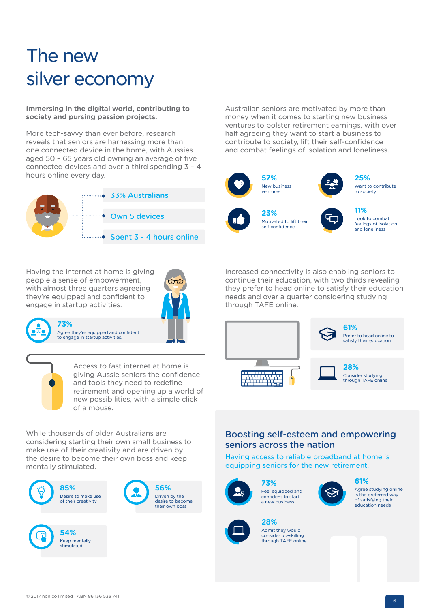# The new silver economy

**Immersing in the digital world, contributing to society and pursing passion projects.**

More tech-savvy than ever before, research reveals that seniors are harnessing more than one connected device in the home, with Aussies aged 50 – 65 years old owning an average of five connected devices and over a third spending 3 – 4 hours online every day. **25%**



Having the internet at home is giving people a sense of empowerment, with almost three quarters agreeing they're equipped and confident to engage in startup activities.



**73%** Agree they're equipped and confident to engage in startup activities.

> Access to fast internet at home is giving Aussie seniors the confidence and tools they need to redefine retirement and opening up a world of new possibilities, with a simple click of a mouse.

While thousands of older Australians are considering starting their own small business to make use of their creativity and are driven by the desire to become their own boss and keep mentally stimulated.



Australian seniors are motivated by more than money when it comes to starting new business ventures to bolster retirement earnings, with over half agreeing they want to start a business to contribute to society, lift their self-confidence and combat feelings of isolation and loneliness.





Want to contribute to society

**23%** Motivated to lift their self confidence



Look to combat feelings of isolation and loneliness

Increased connectivity is also enabling seniors to continue their education, with two thirds revealing they prefer to head online to satisfy their education needs and over a quarter considering studying through TAFE online.



#### Boosting self-esteem and empowering seniors across the nation

Having access to reliable broadband at home is equipping seniors for the new retirement.



**73%** Feel equipped and confident to start a new business



**61%** Agree studying online is the preferred way of satisfying their education needs



**28%** Admit they would consider up-skilling through TAFE online

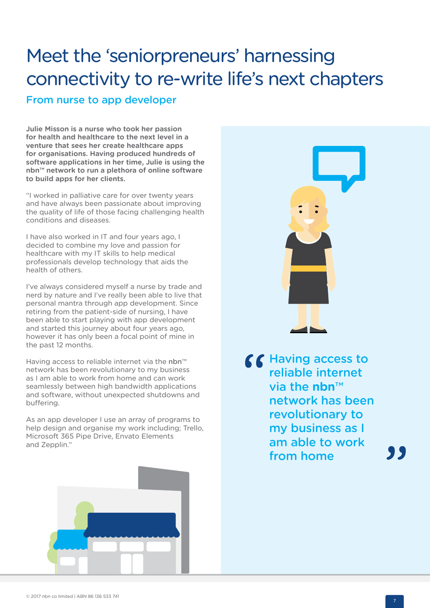# Meet the 'seniorpreneurs' harnessing connectivity to re-write life's next chapters

From nurse to app developer

**Julie Misson is a nurse who took her passion for health and healthcare to the next level in a venture that sees her create healthcare apps for organisations. Having produced hundreds of software applications in her time, Julie is using the nbn™ network to run a plethora of online software to build apps for her clients.**

"I worked in palliative care for over twenty years and have always been passionate about improving the quality of life of those facing challenging health conditions and diseases.

I have also worked in IT and four years ago, I decided to combine my love and passion for healthcare with my IT skills to help medical professionals develop technology that aids the health of others.

I've always considered myself a nurse by trade and nerd by nature and I've really been able to live that personal mantra through app development. Since retiring from the patient-side of nursing, I have been able to start playing with app development and started this journey about four years ago, however it has only been a focal point of mine in the past 12 months.

Having access to reliable internet via the nbn<sup>™</sup> network has been revolutionary to my business as I am able to work from home and can work seamlessly between high bandwidth applications and software, without unexpected shutdowns and buffering.

As an app developer I use an array of programs to help design and organise my work including; Trello, Microsoft 365 Pipe Drive, Envato Elements and Zepplin."



via the **nbn**™ network has been revolutionary to my business as I am able to work from home

, ,

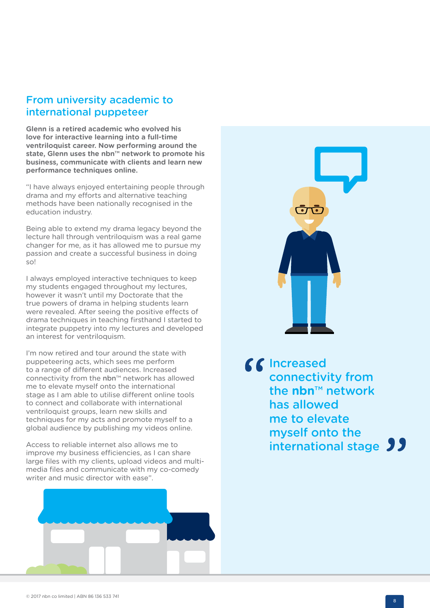### From university academic to international puppeteer

**Glenn is a retired academic who evolved his love for interactive learning into a full-time ventriloquist career. Now performing around the state, Glenn uses the nbn™ network to promote his business, communicate with clients and learn new performance techniques online.** 

"I have always enjoyed entertaining people through drama and my efforts and alternative teaching methods have been nationally recognised in the education industry.

Being able to extend my drama legacy beyond the lecture hall through ventriloquism was a real game changer for me, as it has allowed me to pursue my passion and create a successful business in doing so!

I always employed interactive techniques to keep my students engaged throughout my lectures, however it wasn't until my Doctorate that the true powers of drama in helping students learn were revealed. After seeing the positive effects of drama techniques in teaching firsthand I started to integrate puppetry into my lectures and developed an interest for ventriloquism.

I'm now retired and tour around the state with puppeteering acts, which sees me perform to a range of different audiences. Increased connectivity from the nbn™ network has allowed me to elevate myself onto the international stage as I am able to utilise different online tools to connect and collaborate with international ventriloquist groups, learn new skills and techniques for my acts and promote myself to a global audience by publishing my videos online.

Access to reliable internet also allows me to improve my business efficiencies, as I can share large files with my clients, upload videos and multimedia files and communicate with my co-comedy writer and music director with ease".





66 Increased connectivity from the **nbn**™ network has allowed me to elevate myself onto the international stage 99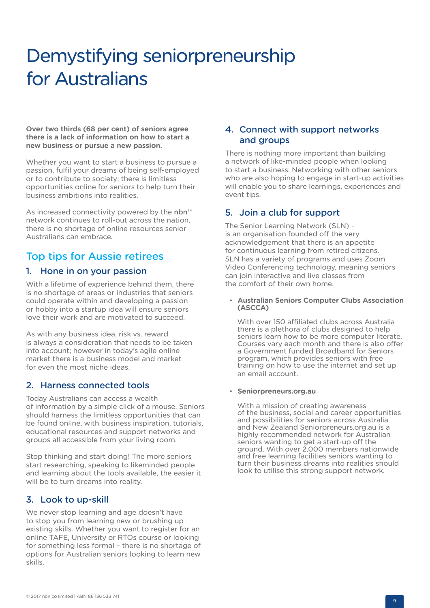# Demystifying seniorpreneurship for Australians

**Over two thirds (68 per cent) of seniors agree there is a lack of information on how to start a new business or pursue a new passion.**

Whether you want to start a business to pursue a passion, fulfil your dreams of being self-employed or to contribute to society; there is limitless opportunities online for seniors to help turn their business ambitions into realities.

As increased connectivity powered by the nbn™ network continues to roll-out across the nation, there is no shortage of online resources senior Australians can embrace.

### Top tips for Aussie retirees

#### 1. Hone in on your passion

With a lifetime of experience behind them, there is no shortage of areas or industries that seniors could operate within and developing a passion or hobby into a startup idea will ensure seniors love their work and are motivated to succeed.

As with any business idea, risk vs. reward is always a consideration that needs to be taken into account; however in today's agile online market there is a business model and market for even the most niche ideas.

#### 2. Harness connected tools

Today Australians can access a wealth of information by a simple click of a mouse. Seniors should harness the limitless opportunities that can be found online, with business inspiration, tutorials, educational resources and support networks and groups all accessible from your living room.

Stop thinking and start doing! The more seniors start researching, speaking to likeminded people and learning about the tools available, the easier it will be to turn dreams into reality.

#### 3. Look to up-skill

We never stop learning and age doesn't have to stop you from learning new or brushing up existing skills. Whether you want to register for an online TAFE, University or RTOs course or looking for something less formal – there is no shortage of options for Australian seniors looking to learn new skills.

#### 4. Connect with support networks and groups

There is nothing more important than building a network of like-minded people when looking to start a business. Networking with other seniors who are also hoping to engage in start-up activities will enable you to share learnings, experiences and event tips.

#### 5. Join a club for support

The Senior Learning Network (SLN) – is an organisation founded off the very acknowledgement that there is an appetite for continuous learning from retired citizens. SLN has a variety of programs and uses Zoom Video Conferencing technology, meaning seniors can join interactive and live classes from the comfort of their own home.

#### • **Australian Seniors Computer Clubs Association (ASCCA)**

With over 150 affiliated clubs across Australia there is a plethora of clubs designed to help seniors learn how to be more computer literate. Courses vary each month and there is also offer a Government funded Broadband for Seniors program, which provides seniors with free training on how to use the internet and set up an email account.

#### • **Seniorpreneurs.org.au**

With a mission of creating awareness of the business, social and career opportunities and possibilities for seniors across Australia and New Zealand Seniorpreneurs.org.au is a highly recommended network for Australian seniors wanting to get a start-up off the ground. With over 2,000 members nationwide and free learning facilities seniors wanting to turn their business dreams into realities should look to utilise this strong support network.